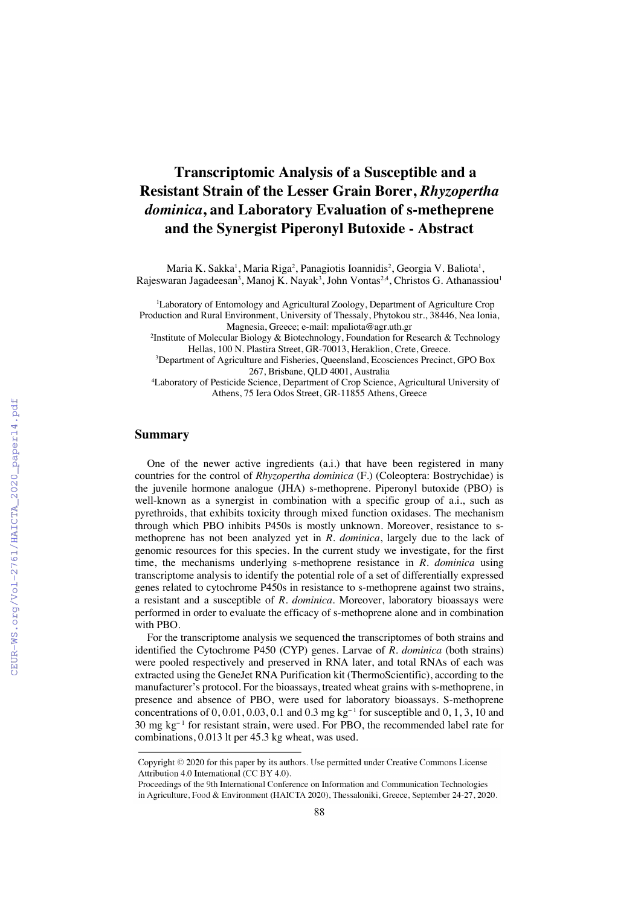## **Transcriptomic Analysis of a Susceptible and a Resistant Strain of the Lesser Grain Borer,** *Rhyzopertha dominica***, and Laboratory Evaluation of s-metheprene and the Synergist Piperonyl Butoxide - Abstract**

Maria K. Sakka<sup>1</sup>, Maria Riga<sup>2</sup>, Panagiotis Ioannidis<sup>2</sup>, Georgia V. Baliota<sup>1</sup>, Rajeswaran Jagadeesan<sup>3</sup>, Manoj K. Nayak<sup>3</sup>, John Vontas<sup>2,4</sup>, Christos G. Athanassiou<sup>1</sup>

<sup>1</sup>Laboratory of Entomology and Agricultural Zoology, Department of Agriculture Crop Production and Rural Environment, University of Thessaly, Phytokou str., 38446, Nea Ionia,

Magnesia, Greece; e-mail: mpaliota@agr.uth.gr

2 Institute of Molecular Biology & Biotechnology, Foundation for Research & Technology Hellas, 100 N. Plastira Street, GR-70013, Heraklion, Crete, Greece.

3 Department of Agriculture and Fisheries, Queensland, Ecosciences Precinct, GPO Box 267, Brisbane, QLD 4001, Australia

4 Laboratory of Pesticide Science, Department of Crop Science, Agricultural University of Athens, 75 Iera Odos Street, GR-11855 Athens, Greece

## **Summary**

One of the newer active ingredients (a.i.) that have been registered in many countries for the control of *Rhyzopertha dominica* (F.) (Coleoptera: Bostrychidae) is the juvenile hormone analogue (JHA) s-methoprene. Piperonyl butoxide (PBO) is well-known as a synergist in combination with a specific group of a.i., such as pyrethroids, that exhibits toxicity through mixed function oxidases. The mechanism through which PBO inhibits P450s is mostly unknown. Moreover, resistance to smethoprene has not been analyzed yet in *R. dominica*, largely due to the lack of genomic resources for this species. In the current study we investigate, for the first time, the mechanisms underlying s-methoprene resistance in *R. dominica* using transcriptome analysis to identify the potential role of a set of differentially expressed genes related to cytochrome P450s in resistance to s-methoprene against two strains, a resistant and a susceptible of *R. dominica*. Moreover, laboratory bioassays were performed in order to evaluate the efficacy of s-methoprene alone and in combination with PBO.

For the transcriptome analysis we sequenced the transcriptomes of both strains and identified the Cytochrome P450 (CYP) genes. Larvae of *R. dominica* (both strains) were pooled respectively and preserved in RNA later, and total RNAs of each was extracted using the GeneJet RNA Purification kit (ThermoScientific), according to the manufacturer's protocol. For the bioassays, treated wheat grains with s-methoprene, in presence and absence of PBO, were used for laboratory bioassays. S-methoprene concentrations of  $0, 0.01, 0.03, 0.1$  and  $0.3$  mg kg<sup>-1</sup> for susceptible and  $0, 1, 3, 10$  and 30 mg kg<sup>-1</sup> for resistant strain, were used. For PBO, the recommended label rate for combinations, 0.013 lt per 45.3 kg wheat, was used.

Copyright © 2020 for this paper by its authors. Use permitted under Creative Commons License Attribution 4.0 International (CC BY 4.0).

Proceedings of the 9th International Conference on Information and Communication Technologies in Agriculture, Food & Environment (HAICTA 2020), Thessaloniki, Greece, September 24-27, 2020.